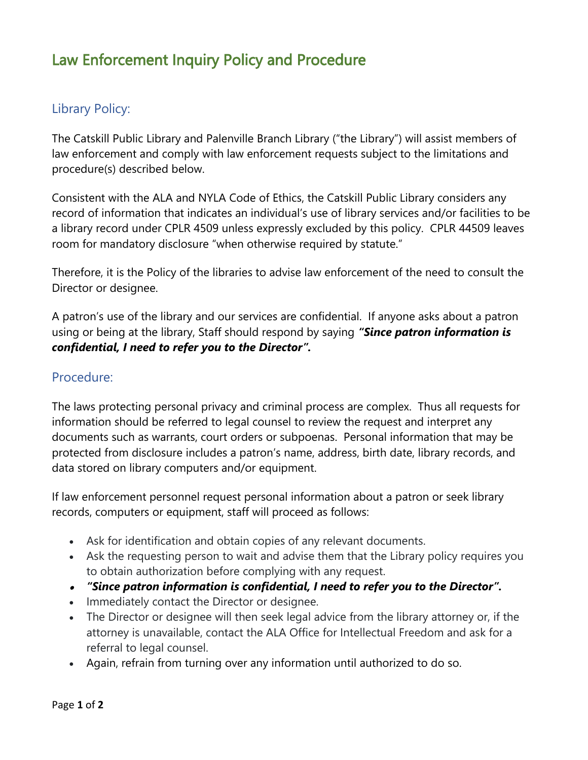# Law Enforcement Inquiry Policy and Procedure

## Library Policy:

The Catskill Public Library and Palenville Branch Library ("the Library") will assist members of law enforcement and comply with law enforcement requests subject to the limitations and procedure(s) described below.

Consistent with the ALA and NYLA Code of Ethics, the Catskill Public Library considers any record of information that indicates an individual's use of library services and/or facilities to be a library record under CPLR 4509 unless expressly excluded by this policy. CPLR 44509 leaves room for mandatory disclosure "when otherwise required by statute."

Therefore, it is the Policy of the libraries to advise law enforcement of the need to consult the Director or designee.

A patron's use of the library and our services are confidential. If anyone asks about a patron using or being at the library, Staff should respond by saying *"Since patron information is confidential, I need to refer you to the Director".*

## Procedure:

The laws protecting personal privacy and criminal process are complex. Thus all requests for information should be referred to legal counsel to review the request and interpret any documents such as warrants, court orders or subpoenas. Personal information that may be protected from disclosure includes a patron's name, address, birth date, library records, and data stored on library computers and/or equipment.

If law enforcement personnel request personal information about a patron or seek library records, computers or equipment, staff will proceed as follows:

- Ask for identification and obtain copies of any relevant documents.
- Ask the requesting person to wait and advise them that the Library policy requires you to obtain authorization before complying with any request.
- *"Since patron information is confidential, I need to refer you to the Director".*
- Immediately contact the Director or designee.
- The Director or designee will then seek legal advice from the library attorney or, if the attorney is unavailable, contact the ALA Office for Intellectual Freedom and ask for a referral to legal counsel.
- Again, refrain from turning over any information until authorized to do so.